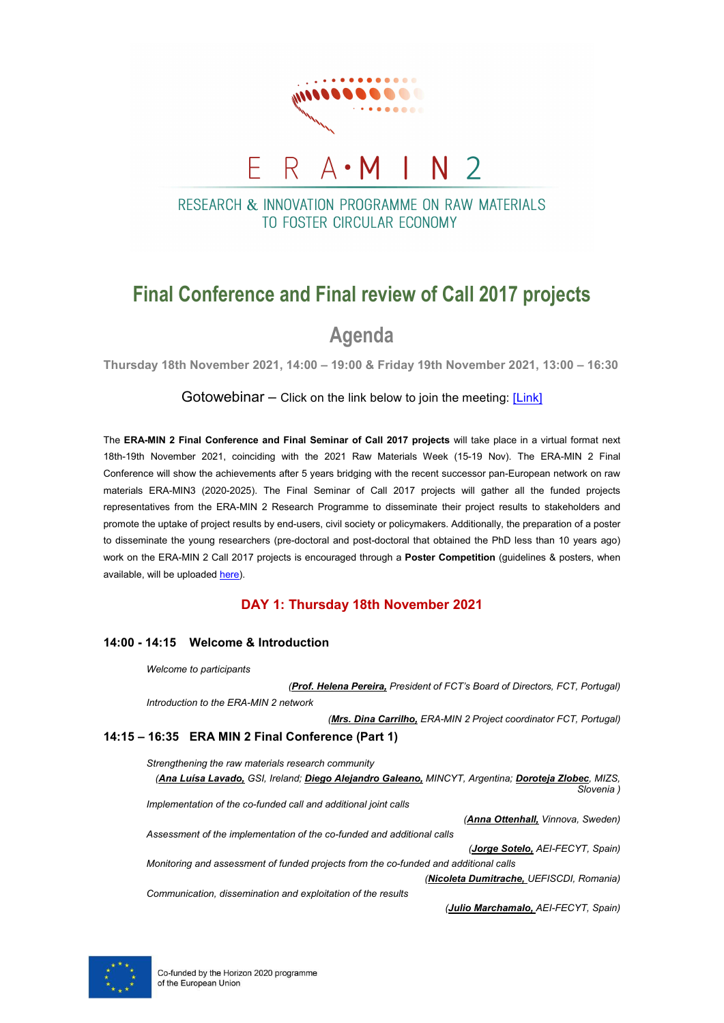

# RESEARCH & INNOVATION PROGRAMME ON RAW MATERIALS TO FOSTER CIRCUI AR FCONOMY

# **Final Conference and Final review of Call 2017 projects**

# **Agenda**

**Thursday 18th November 2021, 14:00 – 19:00 & Friday 19th November 2021, 13:00 – 16:30**

Gotowebinar – Click on the link below to join the meeting:  $[Link]$ 

The **ERA-MIN 2 Final Conference and Final Seminar of Call 2017 projects** will take place in a virtual format next 18th-19th November 2021, coinciding with the 2021 Raw Materials Week (15-19 Nov). The ERA-MIN 2 Final Conference will show the achievements after 5 years bridging with the recent successor pan-European network on raw materials ERA-MIN3 (2020-2025). The Final Seminar of Call 2017 projects will gather all the funded projects representatives from the ERA-MIN 2 Research Programme to disseminate their project results to stakeholders and promote the uptake of project results by end-users, civil society or policymakers. Additionally, the preparation of a poster to disseminate the young researchers (pre-doctoral and post-doctoral that obtained the PhD less than 10 years ago) work on the ERA-MIN 2 Call 2017 projects is encouraged through a **Poster Competition** (guidelines & posters, when available, will be uploade[d here\)](https://www.era-min.eu/event/era-min-2-final-conference-and-final-seminar-call-2017-projects).

## **DAY 1: Thursday 18th November 2021**

### **14:00 - 14:15 Welcome & Introduction**

*Welcome to participants (Prof. Helena Pereira, President of FCT's Board of Directors, FCT, Portugal) Introduction to the ERA-MIN 2 network (Mrs. Dina Carrilho, ERA-MIN 2 Project coordinator FCT, Portugal)* **14:15 – 16:35 ERA MIN 2 Final Conference (Part 1)** *Strengthening the raw materials research community (Ana Luísa Lavado, GSI, Ireland; Diego Alejandro Galeano, MINCYT, Argentina; Doroteja Zlobec, MIZS, Slovenia ) Implementation of the co-funded call and additional joint calls (Anna Ottenhall, Vinnova, Sweden) Assessment of the implementation of the co-funded and additional calls (Jorge Sotelo, AEI-FECYT, Spain) Monitoring and assessment of funded projects from the co-funded and additional calls (Nicoleta Dumitrache, UEFISCDI, Romania)*

*Communication, dissemination and exploitation of the results*

*(Julio Marchamalo, AEI-FECYT, Spain)*

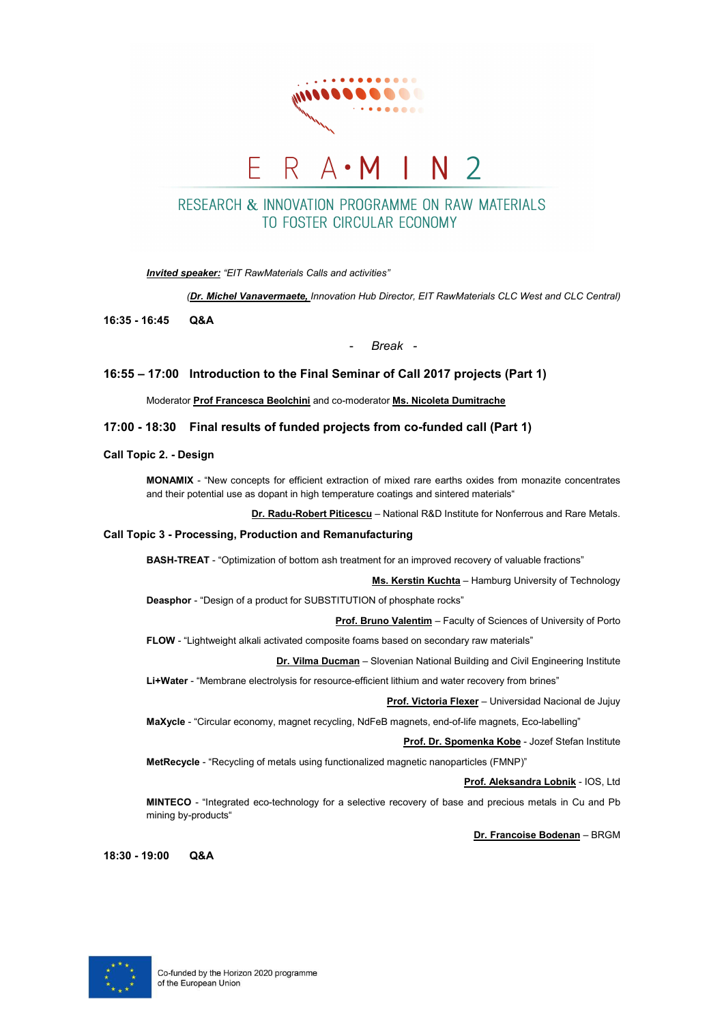

# RESEARCH & INNOVATION PROGRAMME ON RAW MATERIALS TO FOSTER CIRCUI AR FCONOMY

*Invited speaker: "EIT RawMaterials Calls and activities"* 

*(Dr. Michel Vanavermaete, Innovation Hub Director, EIT RawMaterials CLC West and CLC Central)*

**16:35 - 16:45 Q&A**

- *Break -*

### **16:55 – 17:00 Introduction to the Final Seminar of Call 2017 projects (Part 1)**

Moderator **Prof Francesca Beolchini** and co-moderator **Ms. Nicoleta Dumitrache**

### **17:00 - 18:30 Final results of funded projects from co-funded call (Part 1)**

### **Call Topic 2. - Design**

**MONAMIX** - "New concepts for efficient extraction of mixed rare earths oxides from monazite concentrates and their potential use as dopant in high temperature coatings and sintered materials"

**Dr. Radu-Robert Piticescu** – National R&D Institute for Nonferrous and Rare Metals.

#### **Call Topic 3 - Processing, Production and Remanufacturing**

**BASH-TREAT** - "Optimization of bottom ash treatment for an improved recovery of valuable fractions"

**Ms. Kerstin Kuchta** – Hamburg University of Technology

**Deasphor** - "Design of a product for SUBSTITUTION of phosphate rocks"

**Prof. Bruno Valentim** – Faculty of Sciences of University of Porto

**FLOW** - "Lightweight alkali activated composite foams based on secondary raw materials"

**Dr. Vilma Ducman** – Slovenian National Building and Civil Engineering Institute

**Li+Water** - "Membrane electrolysis for resource-efficient lithium and water recovery from brines"

**Prof. Victoria Flexer** – Universidad Nacional de Jujuy

**MaXycle** - "Circular economy, magnet recycling, NdFeB magnets, end-of-life magnets, Eco-labelling"

**Prof. Dr. Spomenka Kobe** - Jozef Stefan Institute

**MetRecycle** - "Recycling of metals using functionalized magnetic nanoparticles (FMNP)"

**Prof. Aleksandra Lobnik** - IOS, Ltd

**MINTECO** - "Integrated eco-technology for a selective recovery of base and precious metals in Cu and Pb mining by-products"

**Dr. Francoise Bodenan** – BRGM

**18:30 - 19:00 Q&A**

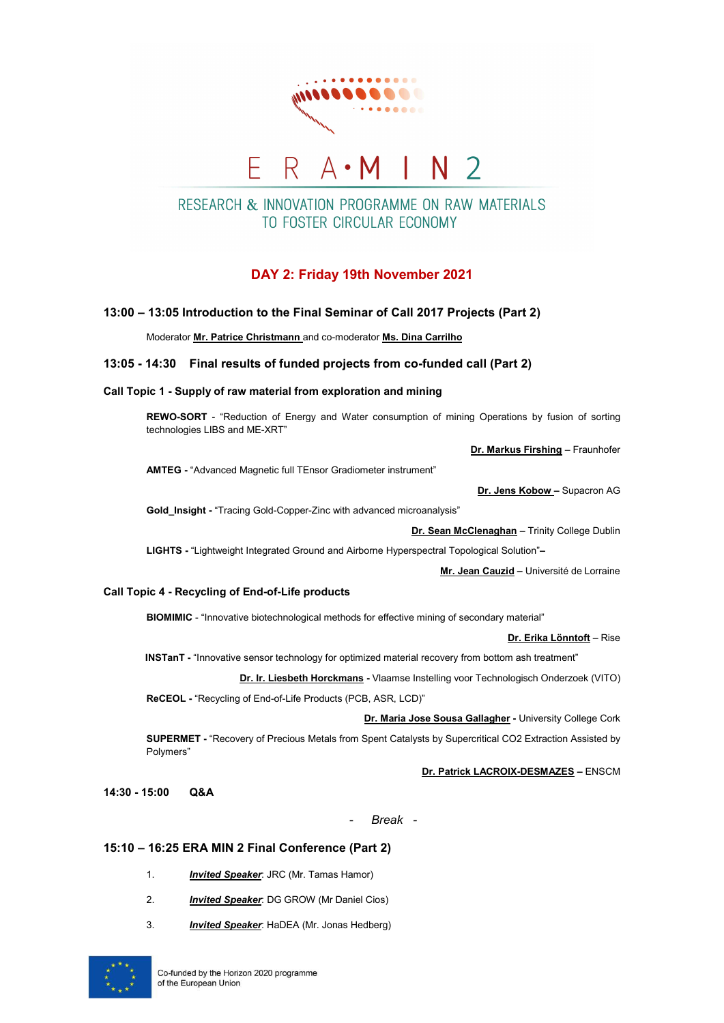

# RESEARCH & INNOVATION PROGRAMME ON RAW MATERIALS TO FOSTER CIRCUI AR FCONOMY

## **DAY 2: Friday 19th November 2021**

### **13:00 – 13:05 Introduction to the Final Seminar of Call 2017 Projects (Part 2)**

Moderator **Mr. Patrice Christmann** and co-moderator **Ms. Dina Carrilho**

### **13:05 - 14:30 Final results of funded projects from co-funded call (Part 2)**

### **Call Topic 1 - Supply of raw material from exploration and mining**

**REWO-SORT** - "Reduction of Energy and Water consumption of mining Operations by fusion of sorting technologies LIBS and ME-XRT"

**Dr. Markus Firshing** – Fraunhofer

**AMTEG -** "Advanced Magnetic full TEnsor Gradiometer instrument"

#### **Dr. Jens Kobow –** Supacron AG

**Gold\_Insight -** "Tracing Gold-Copper-Zinc with advanced microanalysis"

**Dr. Sean McClenaghan** – Trinity College Dublin

**LIGHTS -** "Lightweight Integrated Ground and Airborne Hyperspectral Topological Solution"**–**

**Mr. Jean Cauzid –** Université de Lorraine

### **Call Topic 4 - Recycling of End-of-Life products**

**BIOMIMIC** - "Innovative biotechnological methods for effective mining of secondary material"

**Dr. Erika Lönntoft** – Rise

**INSTanT -** "Innovative sensor technology for optimized material recovery from bottom ash treatment"

**Dr. Ir. Liesbeth Horckmans -** Vlaamse Instelling voor Technologisch Onderzoek (VITO) **ReCEOL -** "Recycling of End-of-Life Products (PCB, ASR, LCD)"

**Dr. Maria Jose Sousa Gallagher -** University College Cork

**SUPERMET -** "Recovery of Precious Metals from Spent Catalysts by Supercritical CO2 Extraction Assisted by Polymers"

**Dr. Patrick LACROIX-DESMAZES –** ENSCM

**14:30 - 15:00 Q&A**

- *Break -*

### **15:10 – 16:25 ERA MIN 2 Final Conference (Part 2)**

- 1. *Invited Speaker*: JRC (Mr. Tamas Hamor)
- 2. *Invited Speaker*: DG GROW (Mr Daniel Cios)
- 3. *Invited Speaker*: HaDEA (Mr. Jonas Hedberg)